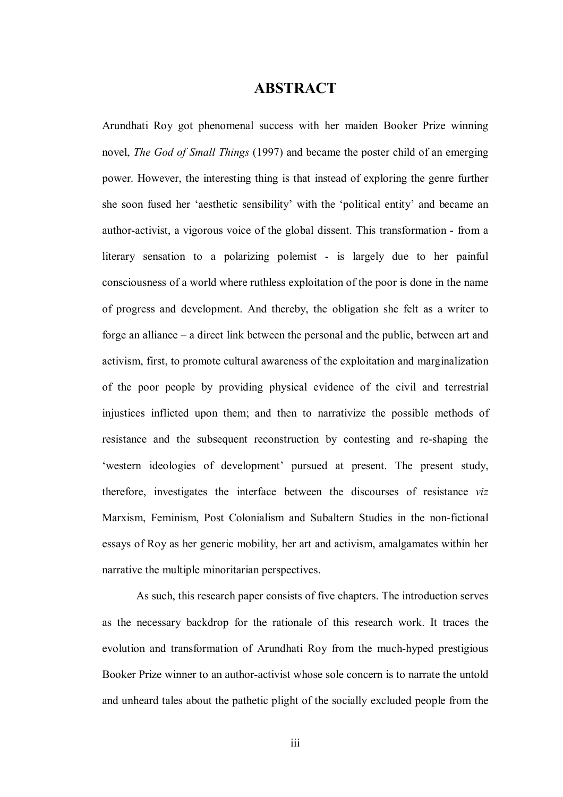## **ABSTRACT**

Arundhati Roy got phenomenal success with her maiden Booker Prize winning novel, *The God of Small Things* (1997) and became the poster child of an emerging power. However, the interesting thing is that instead of exploring the genre further she soon fused her 'aesthetic sensibility' with the 'political entity' and became an author-activist, a vigorous voice of the global dissent. This transformation - from a literary sensation to a polarizing polemist - is largely due to her painful consciousness of a world where ruthless exploitation of the poor is done in the name of progress and development. And thereby, the obligation she felt as a writer to forge an alliance – a direct link between the personal and the public, between art and activism, first, to promote cultural awareness of the exploitation and marginalization of the poor people by providing physical evidence of the civil and terrestrial injustices inflicted upon them; and then to narrativize the possible methods of resistance and the subsequent reconstruction by contesting and re-shaping the 'western ideologies of development' pursued at present. The present study, therefore, investigates the interface between the discourses of resistance *viz* Marxism, Feminism, Post Colonialism and Subaltern Studies in the non-fictional essays of Roy as her generic mobility, her art and activism, amalgamates within her narrative the multiple minoritarian perspectives.

As such, this research paper consists of five chapters. The introduction serves as the necessary backdrop for the rationale of this research work. It traces the evolution and transformation of Arundhati Roy from the much-hyped prestigious Booker Prize winner to an author-activist whose sole concern is to narrate the untold and unheard tales about the pathetic plight of the socially excluded people from the